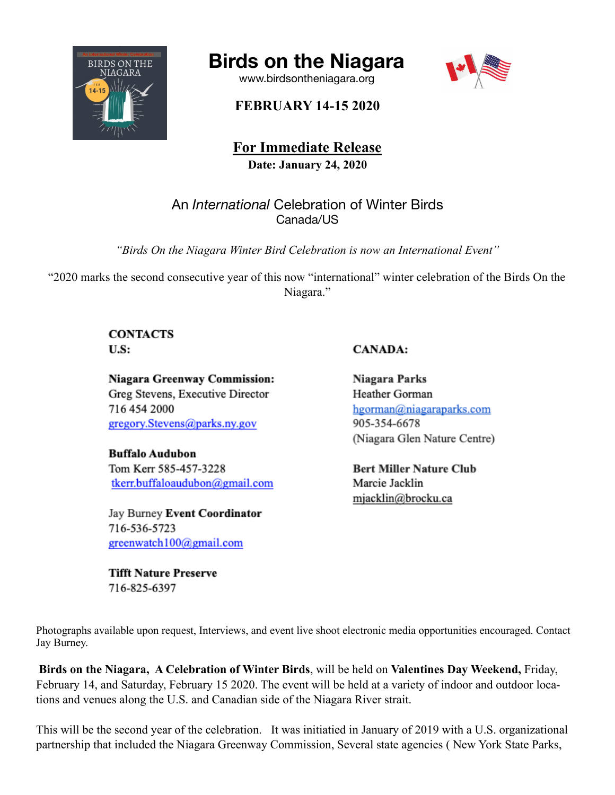

# **Birds on the Niagara**

[www.birdsontheniagara.org](http://www.birdsontheniagara.org)



## **FEBRUARY 14-15 2020**

**For Immediate Release Date: January 24, 2020**

An *International* Celebration of Winter Birds Canada/US

*"Birds On the Niagara Winter Bird Celebration is now an International Event"* 

"2020 marks the second consecutive year of this now "international" winter celebration of the Birds On the Niagara."

### **CONTACTS**  $U.S:$

Niagara Greenway Commission: Greg Stevens, Executive Director 716 454 2000 gregory.Stevens@parks.ny.gov

**Buffalo Audubon** Tom Kerr 585-457-3228 tkerr.buffaloaudubon@gmail.com

Jay Burney Event Coordinator 716-536-5723 greenwatch100@gmail.com

**Tifft Nature Preserve** 716-825-6397

### **CANADA:**

Niagara Parks Heather Gorman hgorman@niagaraparks.com 905-354-6678 (Niagara Glen Nature Centre)

**Bert Miller Nature Club** Marcie Jacklin miacklin@brocku.ca

Photographs available upon request, Interviews, and event live shoot electronic media opportunities encouraged. Contact Jay Burney.

**Birds on the Niagara, A Celebration of Winter Birds**, will be held on **Valentines Day Weekend,** Friday, February 14, and Saturday, February 15 2020. The event will be held at a variety of indoor and outdoor locations and venues along the U.S. and Canadian side of the Niagara River strait.

This will be the second year of the celebration. It was initiatied in January of 2019 with a U.S. organizational partnership that included the Niagara Greenway Commission, Several state agencies ( New York State Parks,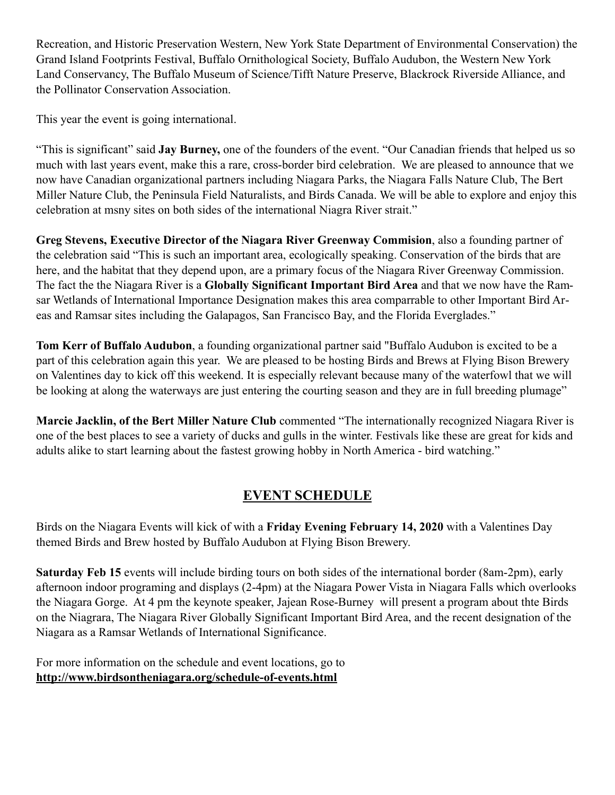Recreation, and Historic Preservation Western, New York State Department of Environmental Conservation) the Grand Island Footprints Festival, Buffalo Ornithological Society, Buffalo Audubon, the Western New York Land Conservancy, The Buffalo Museum of Science/Tifft Nature Preserve, Blackrock Riverside Alliance, and the Pollinator Conservation Association.

This year the event is going international.

"This is significant" said **Jay Burney,** one of the founders of the event. "Our Canadian friends that helped us so much with last years event, make this a rare, cross-border bird celebration. We are pleased to announce that we now have Canadian organizational partners including Niagara Parks, the Niagara Falls Nature Club, The Bert Miller Nature Club, the Peninsula Field Naturalists, and Birds Canada. We will be able to explore and enjoy this celebration at msny sites on both sides of the international Niagra River strait."

**Greg Stevens, Executive Director of the Niagara River Greenway Commision**, also a founding partner of the celebration said "This is such an important area, ecologically speaking. Conservation of the birds that are here, and the habitat that they depend upon, are a primary focus of the Niagara River Greenway Commission. The fact the the Niagara River is a **Globally Significant Important Bird Area** and that we now have the Ramsar Wetlands of International Importance Designation makes this area comparrable to other Important Bird Areas and Ramsar sites including the Galapagos, San Francisco Bay, and the Florida Everglades."

**Tom Kerr of Buffalo Audubon**, a founding organizational partner said "Buffalo Audubon is excited to be a part of this celebration again this year. We are pleased to be hosting Birds and Brews at Flying Bison Brewery on Valentines day to kick off this weekend. It is especially relevant because many of the waterfowl that we will be looking at along the waterways are just entering the courting season and they are in full breeding plumage"

**Marcie Jacklin, of the Bert Miller Nature Club** commented "The internationally recognized Niagara River is one of the best places to see a variety of ducks and gulls in the winter. Festivals like these are great for kids and adults alike to start learning about the fastest growing hobby in North America - bird watching."

### **EVENT SCHEDULE**

Birds on the Niagara Events will kick of with a **Friday Evening February 14, 2020** with a Valentines Day themed Birds and Brew hosted by Buffalo Audubon at Flying Bison Brewery.

**Saturday Feb 15** events will include birding tours on both sides of the international border (8am-2pm), early afternoon indoor programing and displays (2-4pm) at the Niagara Power Vista in Niagara Falls which overlooks the Niagara Gorge. At 4 pm the keynote speaker, Jajean Rose-Burney will present a program about thte Birds on the Niagrara, The Niagara River Globally Significant Important Bird Area, and the recent designation of the Niagara as a Ramsar Wetlands of International Significance.

For more information on the schedule and event locations, go to **<http://www.birdsontheniagara.org/schedule-of-events.html>**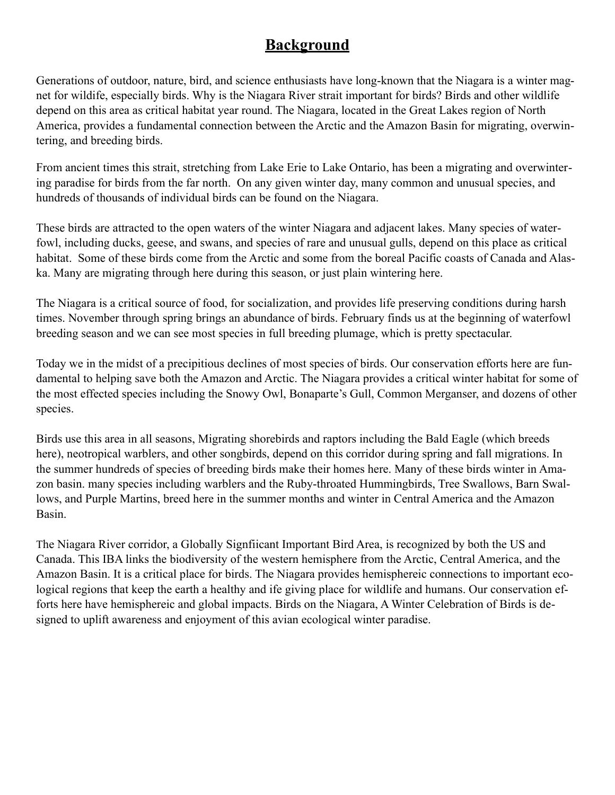# **Background**

Generations of outdoor, nature, bird, and science enthusiasts have long-known that the Niagara is a winter magnet for wildife, especially birds. Why is the Niagara River strait important for birds? Birds and other wildlife depend on this area as critical habitat year round. The Niagara, located in the Great Lakes region of North America, provides a fundamental connection between the Arctic and the Amazon Basin for migrating, overwintering, and breeding birds.

From ancient times this strait, stretching from Lake Erie to Lake Ontario, has been a migrating and overwintering paradise for birds from the far north. On any given winter day, many common and unusual species, and hundreds of thousands of individual birds can be found on the Niagara.

These birds are attracted to the open waters of the winter Niagara and adjacent lakes. Many species of waterfowl, including ducks, geese, and swans, and species of rare and unusual gulls, depend on this place as critical habitat. Some of these birds come from the Arctic and some from the boreal Pacific coasts of Canada and Alaska. Many are migrating through here during this season, or just plain wintering here.

The Niagara is a critical source of food, for socialization, and provides life preserving conditions during harsh times. November through spring brings an abundance of birds. February finds us at the beginning of waterfowl breeding season and we can see most species in full breeding plumage, which is pretty spectacular.

Today we in the midst of a precipitious declines of most species of birds. Our conservation efforts here are fundamental to helping save both the Amazon and Arctic. The Niagara provides a critical winter habitat for some of the most effected species including the Snowy Owl, Bonaparte's Gull, Common Merganser, and dozens of other species.

Birds use this area in all seasons, Migrating shorebirds and raptors including the Bald Eagle (which breeds here), neotropical warblers, and other songbirds, depend on this corridor during spring and fall migrations. In the summer hundreds of species of breeding birds make their homes here. Many of these birds winter in Amazon basin. many species including warblers and the Ruby-throated Hummingbirds, Tree Swallows, Barn Swallows, and Purple Martins, breed here in the summer months and winter in Central America and the Amazon Basin.

The Niagara River corridor, a Globally Signfiicant Important Bird Area, is recognized by both the US and Canada. This IBA links the biodiversity of the western hemisphere from the Arctic, Central America, and the Amazon Basin. It is a critical place for birds. The Niagara provides hemisphereic connections to important ecological regions that keep the earth a healthy and ife giving place for wildlife and humans. Our conservation efforts here have hemisphereic and global impacts. Birds on the Niagara, A Winter Celebration of Birds is designed to uplift awareness and enjoyment of this avian ecological winter paradise.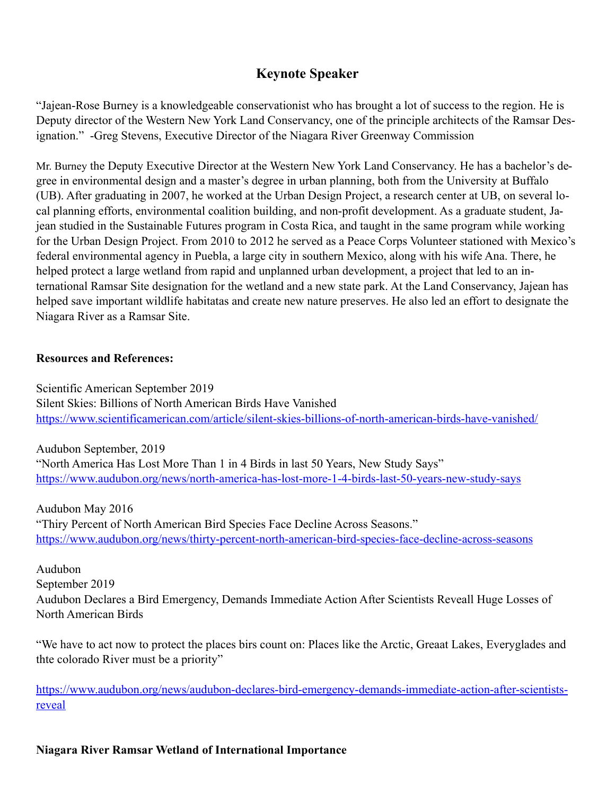# **Keynote Speaker**

"Jajean-Rose Burney is a knowledgeable conservationist who has brought a lot of success to the region. He is Deputy director of the Western New York Land Conservancy, one of the principle architects of the Ramsar Designation." -Greg Stevens, Executive Director of the Niagara River Greenway Commission

Mr. Burney the Deputy Executive Director at the Western New York Land Conservancy. He has a bachelor's degree in environmental design and a master's degree in urban planning, both from the University at Buffalo (UB). After graduating in 2007, he worked at the Urban Design Project, a research center at UB, on several local planning efforts, environmental coalition building, and non-profit development. As a graduate student, Jajean studied in the Sustainable Futures program in Costa Rica, and taught in the same program while working for the Urban Design Project. From 2010 to 2012 he served as a Peace Corps Volunteer stationed with Mexico's federal environmental agency in Puebla, a large city in southern Mexico, along with his wife Ana. There, he helped protect a large wetland from rapid and unplanned urban development, a project that led to an international Ramsar Site designation for the wetland and a new state park. At the Land Conservancy, Jajean has helped save important wildlife habitatas and create new nature preserves. He also led an effort to designate the Niagara River as a Ramsar Site.

#### **Resources and References:**

Scientific American September 2019 Silent Skies: Billions of North American Birds Have Vanished <https://www.scientificamerican.com/article/silent-skies-billions-of-north-american-birds-have-vanished/>

Audubon September, 2019 "North America Has Lost More Than 1 in 4 Birds in last 50 Years, New Study Says" <https://www.audubon.org/news/north-america-has-lost-more-1-4-birds-last-50-years-new-study-says>

Audubon May 2016 "Thiry Percent of North American Bird Species Face Decline Across Seasons." <https://www.audubon.org/news/thirty-percent-north-american-bird-species-face-decline-across-seasons>

Audubon September 2019 Audubon Declares a Bird Emergency, Demands Immediate Action After Scientists Reveall Huge Losses of North American Birds

"We have to act now to protect the places birs count on: Places like the Arctic, Greaat Lakes, Everyglades and thte colorado River must be a priority"

[https://www.audubon.org/news/audubon-declares-bird-emergency-demands-immediate-action-after-scientists](https://www.audubon.org/news/audubon-declares-bird-emergency-demands-immediate-action-after-scientists-reveal)[reveal](https://www.audubon.org/news/audubon-declares-bird-emergency-demands-immediate-action-after-scientists-reveal)

### **Niagara River Ramsar Wetland of International Importance**